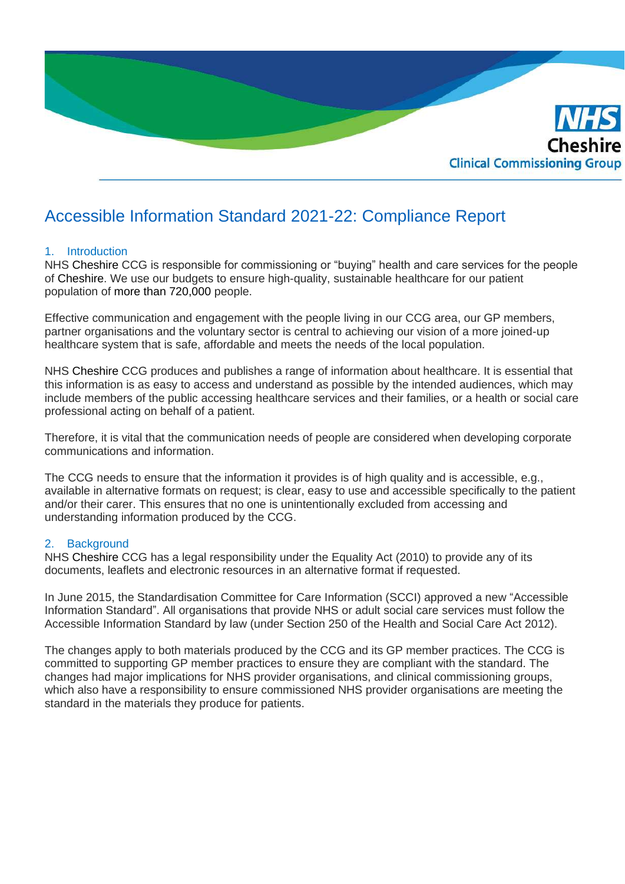

# Accessible Information Standard 2021-22: Compliance Report

# 1. Introduction

NHS Cheshire CCG is responsible for commissioning or "buying" health and care services for the people of Cheshire. We use our budgets to ensure high-quality, sustainable healthcare for our patient population of more than 720,000 people.

Effective communication and engagement with the people living in our CCG area, our GP members, partner organisations and the voluntary sector is central to achieving our vision of a more joined-up healthcare system that is safe, affordable and meets the needs of the local population.

NHS Cheshire CCG produces and publishes a range of information about healthcare. It is essential that this information is as easy to access and understand as possible by the intended audiences, which may include members of the public accessing healthcare services and their families, or a health or social care professional acting on behalf of a patient.

Therefore, it is vital that the communication needs of people are considered when developing corporate communications and information.

The CCG needs to ensure that the information it provides is of high quality and is accessible, e.g., available in alternative formats on request; is clear, easy to use and accessible specifically to the patient and/or their carer. This ensures that no one is unintentionally excluded from accessing and understanding information produced by the CCG.

# 2. Background

NHS Cheshire CCG has a legal responsibility under the Equality Act (2010) to provide any of its documents, leaflets and electronic resources in an alternative format if requested.

In June 2015, the Standardisation Committee for Care Information (SCCI) approved a new "Accessible Information Standard". All organisations that provide NHS or adult social care services must follow the Accessible Information Standard by law (under Section 250 of the Health and Social Care Act 2012).

The changes apply to both materials produced by the CCG and its GP member practices. The CCG is committed to supporting GP member practices to ensure they are compliant with the standard. The changes had major implications for NHS provider organisations, and clinical commissioning groups, which also have a responsibility to ensure commissioned NHS provider organisations are meeting the standard in the materials they produce for patients.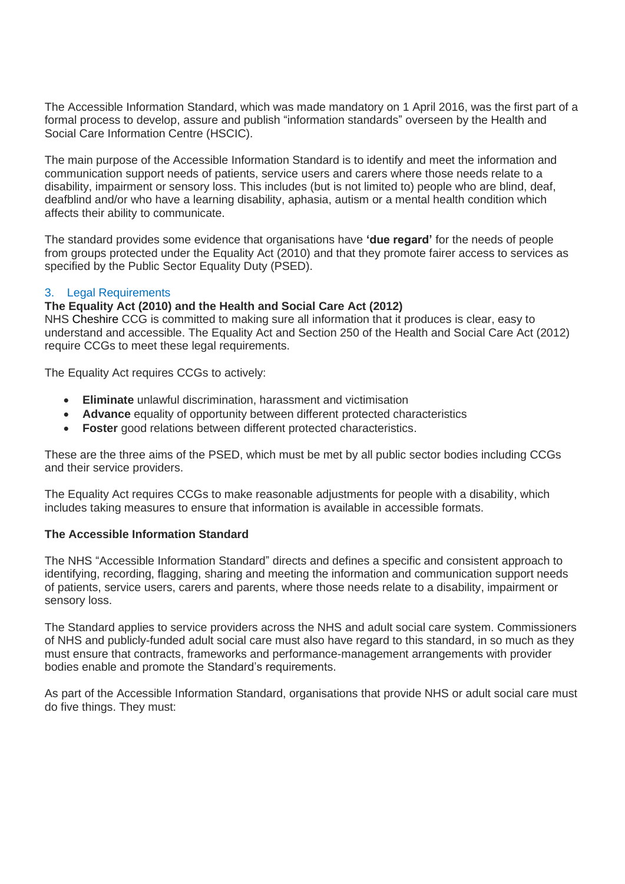The Accessible Information Standard, which was made mandatory on 1 April 2016, was the first part of a formal process to develop, assure and publish "information standards" overseen by the Health and Social Care Information Centre (HSCIC).

The main purpose of the Accessible Information Standard is to identify and meet the information and communication support needs of patients, service users and carers where those needs relate to a disability, impairment or sensory loss. This includes (but is not limited to) people who are blind, deaf, deafblind and/or who have a learning disability, aphasia, autism or a mental health condition which affects their ability to communicate.

The standard provides some evidence that organisations have **'due regard'** for the needs of people from groups protected under the Equality Act (2010) and that they promote fairer access to services as specified by the Public Sector Equality Duty (PSED).

# 3. Legal Requirements

# **The Equality Act (2010) and the Health and Social Care Act (2012)**

NHS Cheshire CCG is committed to making sure all information that it produces is clear, easy to understand and accessible. The Equality Act and Section 250 of the Health and Social Care Act (2012) require CCGs to meet these legal requirements.

The Equality Act requires CCGs to actively:

- **Eliminate** unlawful discrimination, harassment and victimisation
- **Advance** equality of opportunity between different protected characteristics
- **Foster** good relations between different protected characteristics.

These are the three aims of the PSED, which must be met by all public sector bodies including CCGs and their service providers.

The Equality Act requires CCGs to make reasonable adjustments for people with a disability, which includes taking measures to ensure that information is available in accessible formats.

# **The Accessible Information Standard**

The NHS "Accessible Information Standard" directs and defines a specific and consistent approach to identifying, recording, flagging, sharing and meeting the information and communication support needs of patients, service users, carers and parents, where those needs relate to a disability, impairment or sensory loss.

The Standard applies to service providers across the NHS and adult social care system. Commissioners of NHS and publicly-funded adult social care must also have regard to this standard, in so much as they must ensure that contracts, frameworks and performance-management arrangements with provider bodies enable and promote the Standard's requirements.

As part of the Accessible Information Standard, organisations that provide NHS or adult social care must do five things. They must: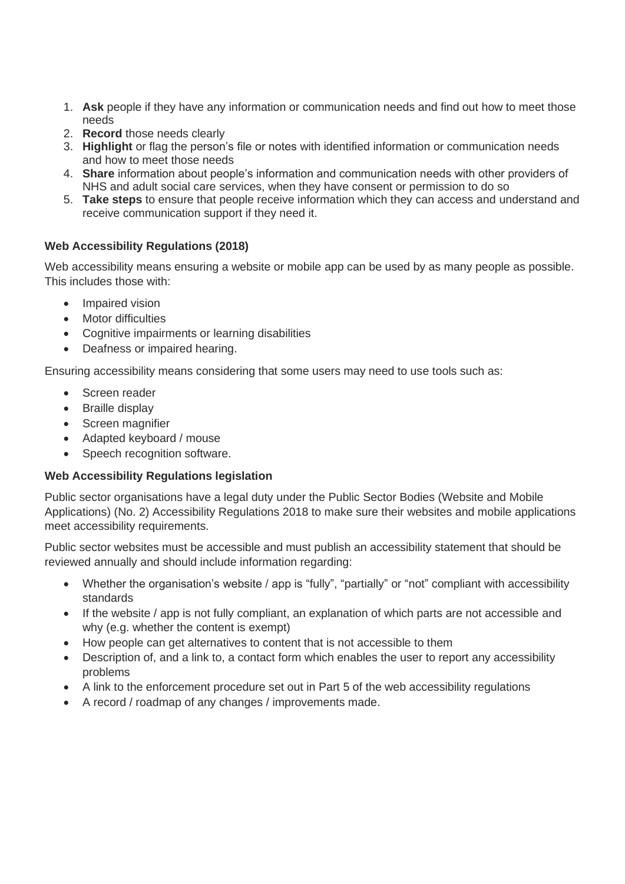- 1. **Ask** people if they have any information or communication needs and find out how to meet those needs
- 2. **Record** those needs clearly
- 3. **Highlight** or flag the person's file or notes with identified information or communication needs and how to meet those needs
- 4. **Share** information about people's information and communication needs with other providers of NHS and adult social care services, when they have consent or permission to do so
- 5. **Take steps** to ensure that people receive information which they can access and understand and receive communication support if they need it.

# **Web Accessibility Regulations (2018)**

Web accessibility means ensuring a website or mobile app can be used by as many people as possible. This includes those with:

- Impaired vision
- Motor difficulties
- Cognitive impairments or learning disabilities
- Deafness or impaired hearing.

Ensuring accessibility means considering that some users may need to use tools such as:

- Screen reader
- Braille display
- Screen magnifier
- Adapted keyboard / mouse
- Speech recognition software.

# **Web Accessibility Regulations legislation**

Public sector organisations have a legal duty under the Public Sector Bodies (Website and Mobile Applications) (No. 2) Accessibility Regulations 2018 to make sure their websites and mobile applications meet accessibility requirements.

Public sector websites must be accessible and must publish an accessibility statement that should be reviewed annually and should include information regarding:

- Whether the organisation's website / app is "fully", "partially" or "not" compliant with accessibility standards
- If the website / app is not fully compliant, an explanation of which parts are not accessible and why (e.g. whether the content is exempt)
- How people can get alternatives to content that is not accessible to them
- Description of, and a link to, a contact form which enables the user to report any accessibility problems
- A link to the enforcement procedure set out in Part 5 of the web accessibility regulations
- A record / roadmap of any changes / improvements made.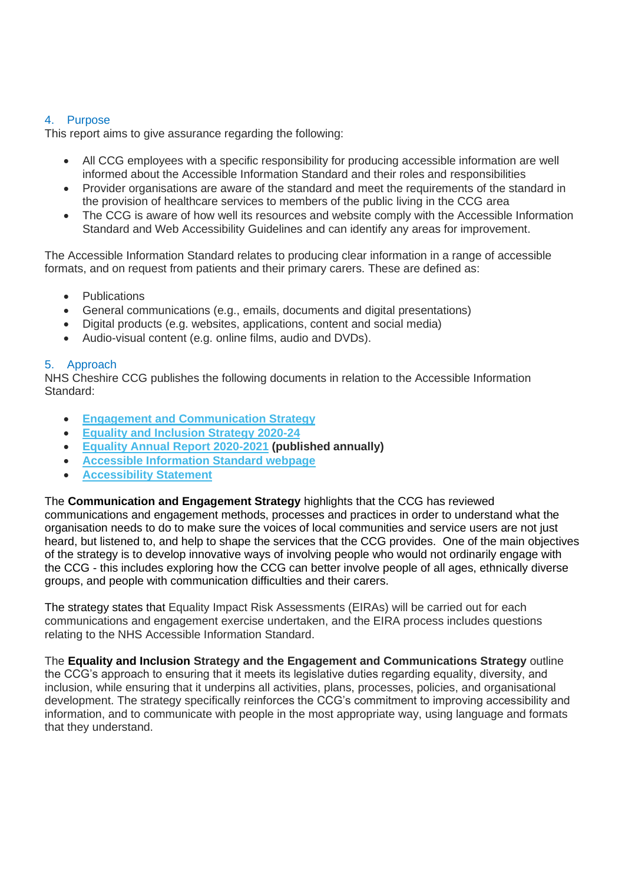# 4. Purpose

This report aims to give assurance regarding the following:

- All CCG employees with a specific responsibility for producing accessible information are well informed about the Accessible Information Standard and their roles and responsibilities
- Provider organisations are aware of the standard and meet the requirements of the standard in the provision of healthcare services to members of the public living in the CCG area
- The CCG is aware of how well its resources and website comply with the Accessible Information Standard and Web Accessibility Guidelines and can identify any areas for improvement.

The Accessible Information Standard relates to producing clear information in a range of accessible formats, and on request from patients and their primary carers. These are defined as:

- Publications
- General communications (e.g., emails, documents and digital presentations)
- Digital products (e.g. websites, applications, content and social media)
- Audio-visual content (e.g. online films, audio and DVDs).

# 5. Approach

NHS Cheshire CCG publishes the following documents in relation to the Accessible Information Standard:

- **[Engagement and Communication Strategy](https://www.cheshireccg.nhs.uk/news/news-stories/involving-people-and-communities-2020-21/)**
- **[Equality and Inclusion Strategy 2020-24](https://www.cheshireccg.nhs.uk/media/1972/equality-and-inclusion-strategy-2020-24.pdf)**
- **[Equality Annual Report 2020-2021](https://www.cheshireccg.nhs.uk/media/2297/nhs-cheshire-ccg-equality-and-inclusion-annual-report-2020_21-final.pdf) (published annually)**
- **[Accessible Information Standard webpage](https://www.cheshireccg.nhs.uk/accessibility/)**
- **[Accessibility Statement](https://www.cheshireccg.nhs.uk/accessibility/)**

The **Communication and Engagement Strategy** highlights that the CCG has reviewed communications and engagement methods, processes and practices in order to understand what the organisation needs to do to make sure the voices of local communities and service users are not just heard, but listened to, and help to shape the services that the CCG provides. One of the main objectives of the strategy is to develop innovative ways of involving people who would not ordinarily engage with the CCG - this includes exploring how the CCG can better involve people of all ages, ethnically diverse groups, and people with communication difficulties and their carers.

The strategy states that Equality Impact Risk Assessments (EIRAs) will be carried out for each communications and engagement exercise undertaken, and the EIRA process includes questions relating to the NHS Accessible Information Standard.

The **Equality and Inclusion Strategy and the Engagement and Communications Strategy** outline the CCG's approach to ensuring that it meets its legislative duties regarding equality, diversity, and inclusion, while ensuring that it underpins all activities, plans, processes, policies, and organisational development. The strategy specifically reinforces the CCG's commitment to improving accessibility and information, and to communicate with people in the most appropriate way, using language and formats that they understand.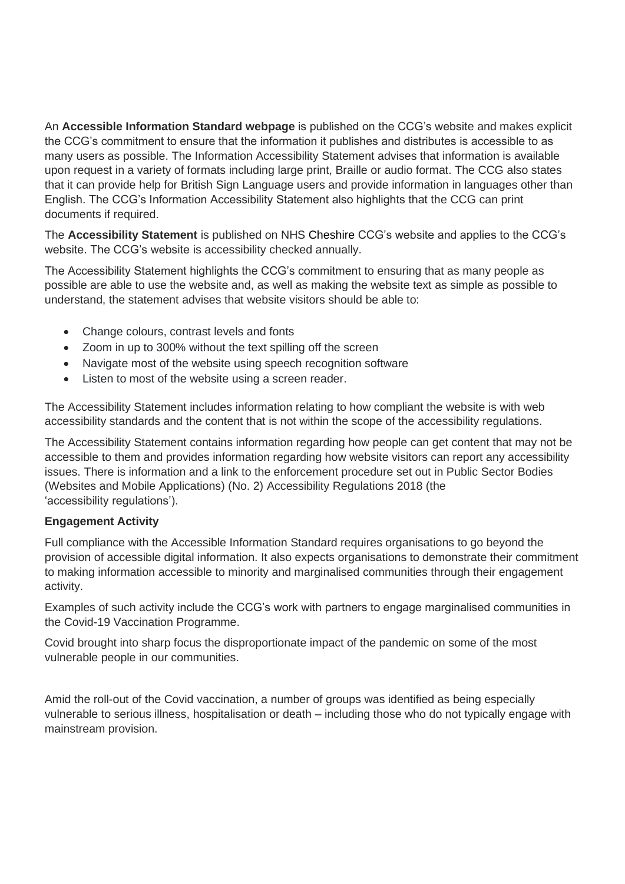An **Accessible Information Standard webpage** is published on the CCG's website and makes explicit the CCG's commitment to ensure that the information it publishes and distributes is accessible to as many users as possible. The Information Accessibility Statement advises that information is available upon request in a variety of formats including large print, Braille or audio format. The CCG also states that it can provide help for British Sign Language users and provide information in languages other than English. The CCG's Information Accessibility Statement also highlights that the CCG can print documents if required.

The **Accessibility Statement** is published on NHS Cheshire CCG's website and applies to the CCG's website. The CCG's website is accessibility checked annually.

The Accessibility Statement highlights the CCG's commitment to ensuring that as many people as possible are able to use the website and, as well as making the website text as simple as possible to understand, the statement advises that website visitors should be able to:

- Change colours, contrast levels and fonts
- Zoom in up to 300% without the text spilling off the screen
- Navigate most of the website using speech recognition software
- Listen to most of the website using a screen reader.

The Accessibility Statement includes information relating to how compliant the website is with web accessibility standards and the content that is not within the scope of the accessibility regulations.

The Accessibility Statement contains information regarding how people can get content that may not be accessible to them and provides information regarding how website visitors can report any accessibility issues. There is information and a link to the enforcement procedure set out in Public Sector Bodies (Websites and Mobile Applications) (No. 2) Accessibility Regulations 2018 (the 'accessibility regulations').

# **Engagement Activity**

Full compliance with the Accessible Information Standard requires organisations to go beyond the provision of accessible digital information. It also expects organisations to demonstrate their commitment to making information accessible to minority and marginalised communities through their engagement activity.

Examples of such activity include the CCG's work with partners to engage marginalised communities in the Covid-19 Vaccination Programme.

Covid brought into sharp focus the disproportionate impact of the pandemic on some of the most vulnerable people in our communities.

Amid the roll-out of the Covid vaccination, a number of groups was identified as being especially vulnerable to serious illness, hospitalisation or death – including those who do not typically engage with mainstream provision.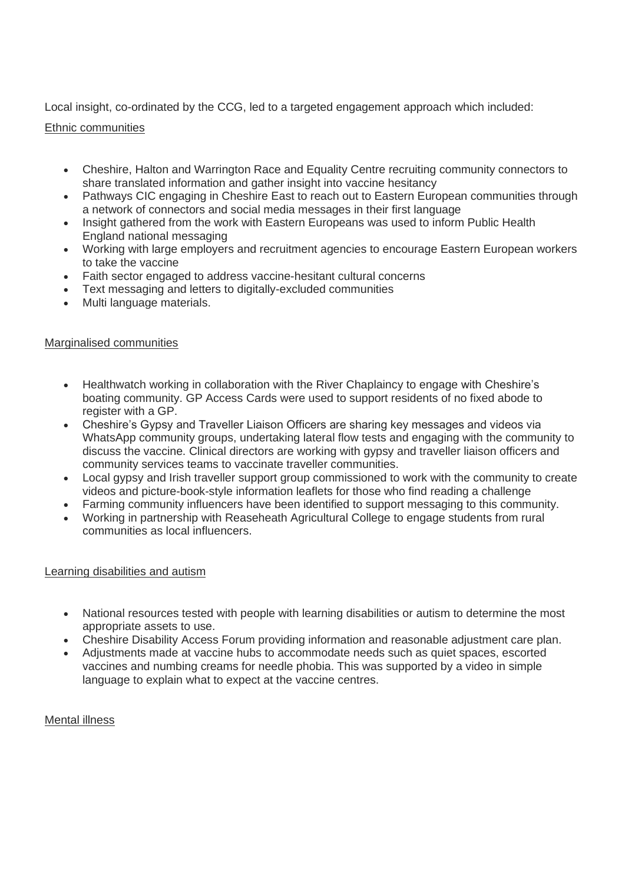Local insight, co-ordinated by the CCG, led to a targeted engagement approach which included:

# Ethnic communities

- Cheshire, Halton and Warrington Race and Equality Centre recruiting community connectors to share translated information and gather insight into vaccine hesitancy
- Pathways CIC engaging in Cheshire East to reach out to Eastern European communities through a network of connectors and social media messages in their first language
- Insight gathered from the work with Eastern Europeans was used to inform Public Health England national messaging
- Working with large employers and recruitment agencies to encourage Eastern European workers to take the vaccine
- Faith sector engaged to address vaccine-hesitant cultural concerns
- Text messaging and letters to digitally-excluded communities
- Multi language materials.

# Marginalised communities

- Healthwatch working in collaboration with the River Chaplaincy to engage with Cheshire's boating community. GP Access Cards were used to support residents of no fixed abode to register with a GP.
- Cheshire's Gypsy and Traveller Liaison Officers are sharing key messages and videos via WhatsApp community groups, undertaking lateral flow tests and engaging with the community to discuss the vaccine. Clinical directors are working with gypsy and traveller liaison officers and community services teams to vaccinate traveller communities.
- Local gypsy and Irish traveller support group commissioned to work with the community to create videos and picture-book-style information leaflets for those who find reading a challenge
- Farming community influencers have been identified to support messaging to this community.
- Working in partnership with Reaseheath Agricultural College to engage students from rural communities as local influencers.

# Learning disabilities and autism

- National resources tested with people with learning disabilities or autism to determine the most appropriate assets to use.
- Cheshire Disability Access Forum providing information and reasonable adjustment care plan.
- Adjustments made at vaccine hubs to accommodate needs such as quiet spaces, escorted vaccines and numbing creams for needle phobia. This was supported by a video in simple language to explain what to expect at the vaccine centres.

# Mental illness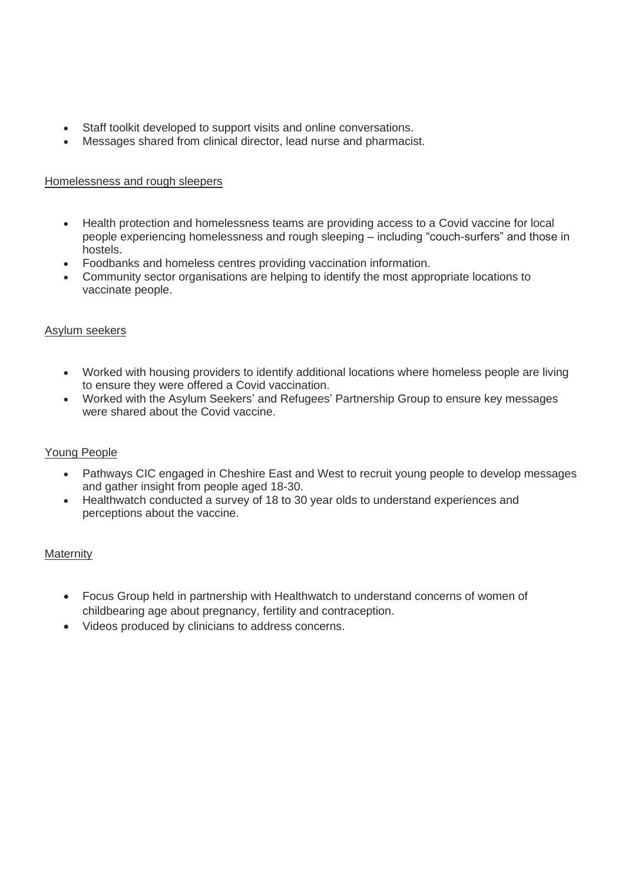- Staff toolkit developed to support visits and online conversations.
- Messages shared from clinical director, lead nurse and pharmacist.

# Homelessness and rough sleepers

- Health protection and homelessness teams are providing access to a Covid vaccine for local people experiencing homelessness and rough sleeping – including "couch-surfers" and those in hostels.
- Foodbanks and homeless centres providing vaccination information.
- Community sector organisations are helping to identify the most appropriate locations to vaccinate people.

# Asylum seekers

- Worked with housing providers to identify additional locations where homeless people are living to ensure they were offered a Covid vaccination.
- Worked with the Asylum Seekers' and Refugees' Partnership Group to ensure key messages were shared about the Covid vaccine.

# Young People

- Pathways CIC engaged in Cheshire East and West to recruit young people to develop messages and gather insight from people aged 18-30.
- Healthwatch conducted a survey of 18 to 30 year olds to understand experiences and perceptions about the vaccine.

# **Maternity**

- Focus Group held in partnership with Healthwatch to understand concerns of women of childbearing age about pregnancy, fertility and contraception.
- Videos produced by clinicians to address concerns.